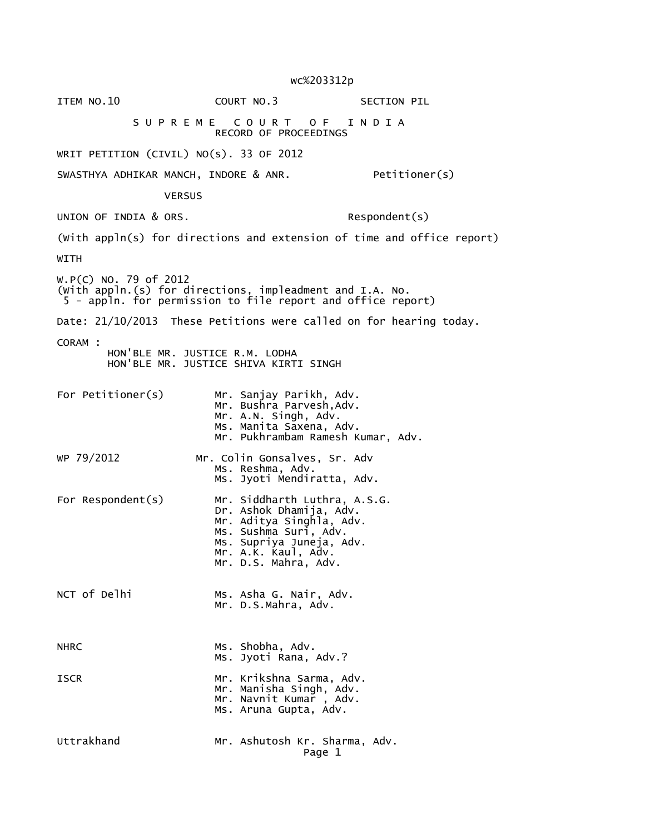wc%203312p

ITEM NO.10 COURT NO.3 SECTION PIL S U P R E M E C O U R T O F I N D I A RECORD OF PROCEEDINGS WRIT PETITION (CIVIL) NO(s). 33 OF 2012 SWASTHYA ADHIKAR MANCH, INDORE & ANR. Petitioner(s) **VERSUS** UNION OF INDIA & ORS. Respondent(s) (With appln(s) for directions and extension of time and office report) WITH W.P(C) NO. 79 of 2012 (With appln.(s) for directions, impleadment and I.A. No. 5 - appln. for permission to file report and office report) Date: 21/10/2013 These Petitions were called on for hearing today. CORAM : HON'BLE MR. JUSTICE R.M. LODHA HON'BLE MR. JUSTICE SHIVA KIRTI SINGH For Petitioner(s) Mr. Sanjay Parikh, Adv. Mr. Bushra Parvesh,Adv. Mr. A.N. Singh, Adv. Ms. Manita Saxena, Adv. Mr. Pukhrambam Ramesh Kumar, Adv. WP 79/2012 Mr. Colin Gonsalves, Sr. Adv Ms. Reshma, Adv. Ms. Jyoti Mendiratta, Adv. For Respondent(s) Mr. Siddharth Luthra, A.S.G. Dr. Ashok Dhamija, Adv. Mr. Aditya Singhla, Adv. Ms. Sushma Suri, Adv. Ms. Supriya Juneja, Adv. Mr. A.K. Kaul, Adv. Mr. D.S. Mahra, Adv. NCT of Delhi Ms. Asha G. Nair, Adv. Mr. D.S.Mahra, Adv. NHRC MS. Shobha, Adv. Ms. Jyoti Rana, Adv.? ISCR Mr. Krikshna Sarma, Adv. Mr. Manisha Singh, Adv. Mr. Navnit Kumar , Adv. Ms. Aruna Gupta, Adv. Uttrakhand Mr. Ashutosh Kr. Sharma, Adv. Page 1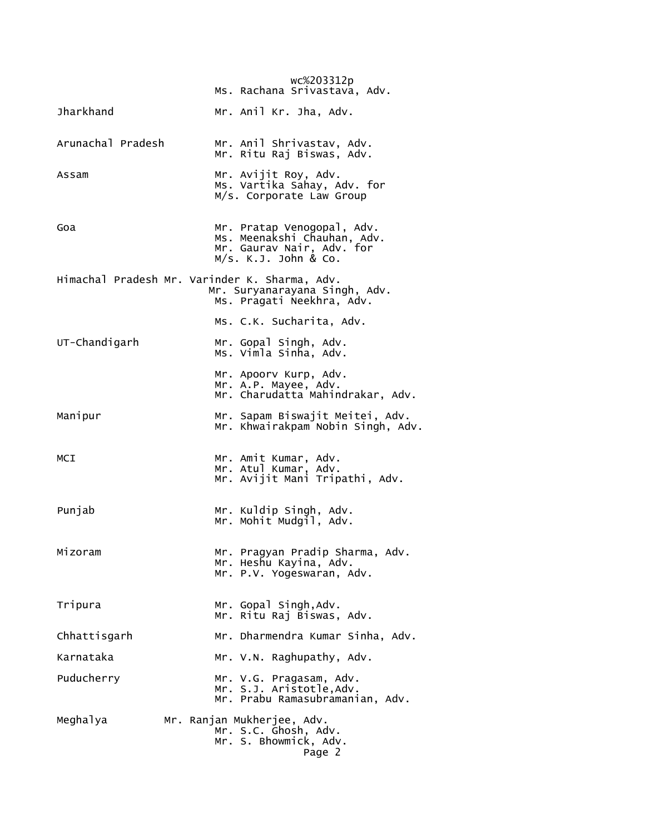|                   | wc%203312p<br>Ms. Rachana Srivastava, Adv.                                                                     |
|-------------------|----------------------------------------------------------------------------------------------------------------|
| <b>Jharkhand</b>  | Mr. Anil Kr. Jha, Adv.                                                                                         |
| Arunachal Pradesh | Mr. Anil Shrivastav, Adv.<br>Mr. Ritu Raj Biswas, Adv.                                                         |
| Assam             | Mr. Avijit Roy, Adv.<br>Ms. Vartika Sahay, Adv. for<br>M/s. Corporate Law Group                                |
| Goa               | Mr. Pratap Venogopal, Adv.<br>Ms. Meenakshi Chauhan, Adv.<br>Mr. Gaurav Nair, Adv. for<br>M/s. K.J. John & Co. |
|                   | Himachal Pradesh Mr. Varinder K. Sharma, Adv.<br>Mr. Suryanarayana Singh, Adv.<br>Ms. Pragati Neekhra, Adv.    |
|                   | Ms. C.K. Sucharita, Adv.                                                                                       |
| UT-Chandigarh     | Mr. Gopal Singh, Adv.<br>Ms. Vimla Sinha, Adv.                                                                 |
|                   | Mr. Apoorv Kurp, Adv.<br>Mr. A.P. Mayee, Adv.<br>Mr. Charudatta Mahindrakar, Adv.                              |
| Manipur           | Mr. Sapam Biswajit Meitei, Adv.<br>Mr. Khwairakpam Nobin Singh, Adv.                                           |
| MCI               | Mr. Amit Kumar, Adv.<br>Mr. Atul Kumar, Adv.<br>Mr. Avijit Mani Tripathi, Adv.                                 |
| Punjab            | Mr. Kuldip Singh, Adv.<br>Mr. Mohit Mudgil, Adv.                                                               |
| Mizoram           | Mr. Pragyan Pradip Sharma, Adv.<br>Mr. Heshu Kayina, Adv.<br>Mr. P.V. Yogeswaran, Adv.                         |
| Tripura           | Mr. Gopal Singh, Adv.<br>Mr. Ritu Raj Biswas, Adv.                                                             |
| Chhattisgarh      | Mr. Dharmendra Kumar Sinha, Adv.                                                                               |
| Karnataka         | Mr. V.N. Raghupathy, Adv.                                                                                      |
| Puducherry        | Mr. V.G. Pragasam, Adv.<br>Mr. S.J. Aristotle, Adv.<br>Mr. Prabu Ramasubramanian, Adv.                         |
| Meghalya          | Mr. Ranjan Mukherjee, Adv.<br>Mr. S.C. Ghosh, Adv.<br>Mr. S. Bhowmick, Adv.<br>Page 2                          |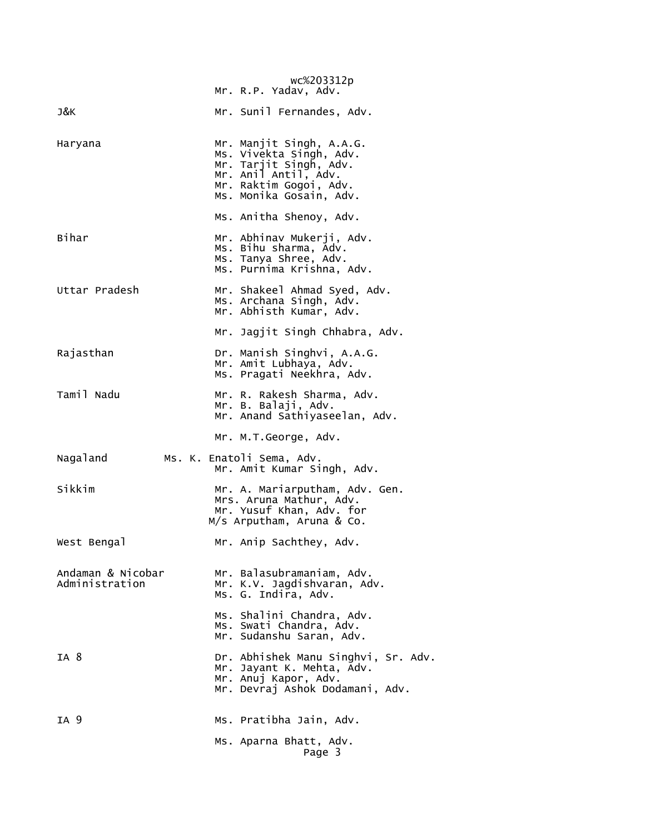|                                     | wc%203312p<br>Mr. R.P. Yadav, Adv.                                                                                                                         |
|-------------------------------------|------------------------------------------------------------------------------------------------------------------------------------------------------------|
| J&K                                 | Mr. Sunil Fernandes, Adv.                                                                                                                                  |
| Haryana                             | Mr. Manjit Singh, A.A.G.<br>Ms. Vivekta Singh, Adv.<br>Mr. Tarjit Singh, Adv.<br>Mr. Anil Antil, Adv.<br>Mr. Raktim Gogoi, Adv.<br>Ms. Monika Gosain, Adv. |
|                                     | Ms. Anitha Shenoy, Adv.                                                                                                                                    |
| Bihar                               | Mr. Abhinav Mukerji, Adv.<br>Ms. Bihu sharma, Adv.<br>Ms. Tanya Shree, Adv.<br>Ms. Purnima Krishna, Adv.                                                   |
| Uttar Pradesh                       | Mr. Shakeel Ahmad Syed, Adv.<br>Ms. Archana Singh, Adv.<br>Mr. Abhisth Kumar, Adv.                                                                         |
|                                     | Mr. Jagjit Singh Chhabra, Adv.                                                                                                                             |
| Rajasthan                           | Dr. Manish Singhvi, A.A.G.<br>Mr. Amit Lubhaya, Adv.<br>Ms. Pragati Neekhra, Adv.                                                                          |
| Tamil Nadu                          | Mr. R. Rakesh Sharma, Adv.<br>Mr. B. Balaji, Adv.<br>Mr. Anand Sathiyaseelan, Adv.                                                                         |
|                                     | Mr. M.T.George, Adv.                                                                                                                                       |
| Nagaland                            | Ms. K. Enatoli Sema, Adv.<br>Mr. Amit Kumar Singh, Adv.                                                                                                    |
| Sikkim                              | Mr. A. Mariarputham, Adv. Gen.<br>Mrs. Aruna Mathur, Adv.<br>Mr. Yusuf Khan, Adv. for<br>M/s Arputham, Aruna & Co.                                         |
| West Bengal                         | Mr. Anip Sachthey, Adv.                                                                                                                                    |
| Andaman & Nicobar<br>Administration | Mr. Balasubramaniam, Adv.<br>Mr. K.V. Jagdishvaran, Adv.<br>Ms. G. Indira, Adv.                                                                            |
|                                     | Ms. Shalini Chandra, Adv.<br>Ms. Swati Chandra, Adv.<br>Mr. Sudanshu Saran, Adv.                                                                           |
| IA 8                                | Dr. Abhishek Manu Singhvi, Sr. Adv.<br>Mr. Jayant K. Mehta, Adv.<br>Mr. Anuj Kapor, Adv.<br>Mr. Devraj Ashok Dodamani, Adv.                                |
| IA 9                                | Ms. Pratibha Jain, Adv.                                                                                                                                    |
|                                     | Ms. Aparna Bhatt, Adv.<br>Page 3                                                                                                                           |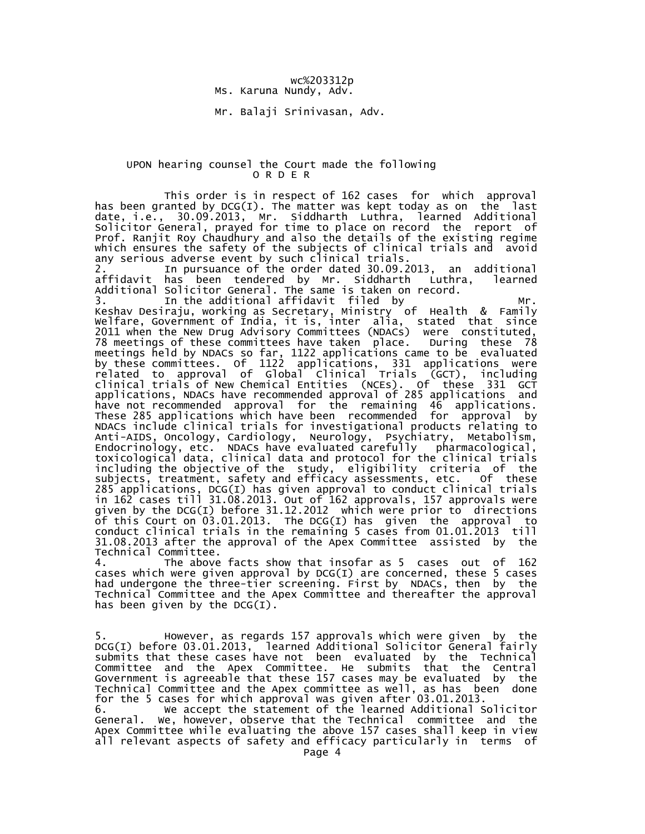## wc%203312p Ms. Karuna Nundy, Adv.

Mr. Balaji Srinivasan, Adv.

## UPON hearing counsel the Court made the following O R D E R

 This order is in respect of 162 cases for which approval has been granted by DCG(I). The matter was kept today as on the last date, i.e., 30.09.2013, Mr. Siddharth Luthra, learned Additional Solicitor General, prayed for time to place on record the report of Prof. Ranjit Roy Chaudhury and also the details of the existing regime which ensures the safety of the subjects of clinical trials and avoid any serious adverse event by such clinical trials.

 2. In pursuance of the order dated 30.09.2013, an additional affidavit has been tendered by Mr. Siddharth Luthra, learned Additional Solicitor General. The same is taken on record.

 3. In the additional affidavit filed by Mr. Keshav Desiraju, working as Secretary, Ministry of Health & Family Welfare, Government of India, it is, inter alia, stated that since 2011 when the New Drug Advisory Committees (NDACs) were constituted, 78 meetings of these committees have taken place. During these 78 meetings held by NDACs so far, 1122 applications came to be evaluated by these committees. Of 1122 applications, 331 applications were related to approval of Global Clinical Trials (GCT), including clinical trials of New Chemical Entities (NCEs). Of these 331 GCT applications, NDACs have recommended approval of 285 applications and have not recommended approval for the remaining 46 applications. These 285 applications which have been recommended for approval by NDACs include clinical trials for investigational products relating to Anti-AIDS, Oncology, Cardiology, Neurology, Psychiatry, Metabolism, Endocrinology, etc. NDACs have evaluated carefully pharmacological, toxicological data, clinical data and protocol for the clinical trials including the objective of the study, eligibility criteria of the subjects, treatment, safety and efficacy assessments, etc. Of these 285 applications, DCG(I) has given approval to conduct clinical trials in 162 cases till 31.08.2013. Out of 162 approvals, 157 approvals were given by the DCG(I) before 31.12.2012 which were prior to directions of this Court on 03.01.2013. The DCG(I) has given the approval to conduct clinical trials in the remaining 5 cases from 01.01.2013 till 31.08.2013 after the approval of the Apex Committee assisted by the Technical Committee.

 4. The above facts show that insofar as 5 cases out of 162 cases which were given approval by DCG(I) are concerned, these 5 cases had undergone the three-tier screening. First by NDACs, then by the Technical Committee and the Apex Committee and thereafter the approval has been given by the  $DCG(I)$ .

 5. However, as regards 157 approvals which were given by the DCG(I) before 03.01.2013, learned Additional Solicitor General fairly submits that these cases have not been evaluated by the Technical Committee and the Apex Committee. He submits that the Central Government is agreeable that these 157 cases may be evaluated by the Technical Committee and the Apex committee as well, as has been done for the 5 cases for which approval was given after 03.01.2013.

 6. We accept the statement of the learned Additional Solicitor General. We, however, observe that the Technical committee and the Apex Committee while evaluating the above 157 cases shall keep in view all relevant aspects of safety and efficacy particularly in terms of